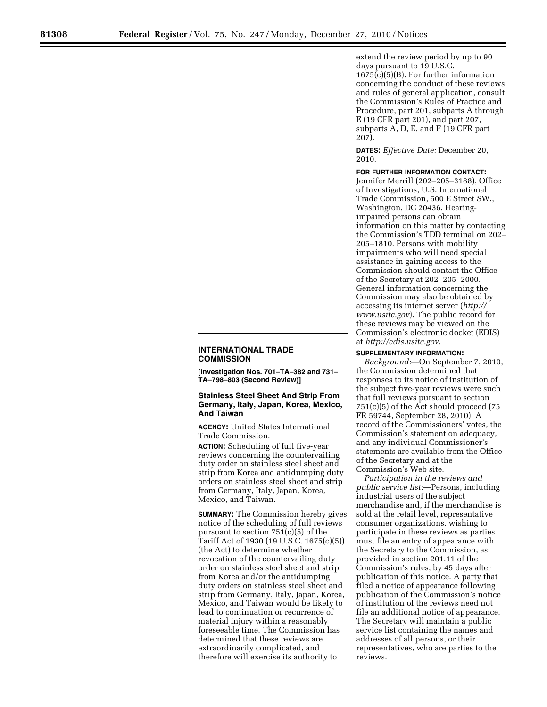extend the review period by up to 90 days pursuant to 19 U.S.C. 1675(c)(5)(B). For further information concerning the conduct of these reviews and rules of general application, consult the Commission's Rules of Practice and Procedure, part 201, subparts A through E (19 CFR part 201), and part 207, subparts A, D, E, and F (19 CFR part 207).

**DATES:** *Effective Date:* December 20, 2010.

## **INTERNATIONAL TRADE COMMISSION**

**[Investigation Nos. 701–TA–382 and 731– TA–798–803 (Second Review)]** 

## **Stainless Steel Sheet And Strip From Germany, Italy, Japan, Korea, Mexico, And Taiwan**

**AGENCY:** United States International Trade Commission.

**ACTION:** Scheduling of full five-year reviews concerning the countervailing duty order on stainless steel sheet and strip from Korea and antidumping duty orders on stainless steel sheet and strip from Germany, Italy, Japan, Korea, Mexico, and Taiwan.

**SUMMARY:** The Commission hereby gives notice of the scheduling of full reviews pursuant to section 751(c)(5) of the Tariff Act of 1930 (19 U.S.C. 1675(c)(5)) (the Act) to determine whether revocation of the countervailing duty order on stainless steel sheet and strip from Korea and/or the antidumping duty orders on stainless steel sheet and strip from Germany, Italy, Japan, Korea, Mexico, and Taiwan would be likely to lead to continuation or recurrence of material injury within a reasonably foreseeable time. The Commission has determined that these reviews are extraordinarily complicated, and therefore will exercise its authority to

**FOR FURTHER INFORMATION CONTACT:**  Jennifer Merrill (202–205–3188), Office of Investigations, U.S. International Trade Commission, 500 E Street SW., Washington, DC 20436. Hearingimpaired persons can obtain information on this matter by contacting the Commission's TDD terminal on 202– 205–1810. Persons with mobility impairments who will need special assistance in gaining access to the Commission should contact the Office of the Secretary at 202–205–2000. General information concerning the Commission may also be obtained by accessing its internet server (*http:// www.usitc.gov*). The public record for these reviews may be viewed on the Commission's electronic docket (EDIS) at *http://edis.usitc.gov.* 

## **SUPPLEMENTARY INFORMATION:**

*Background:*—On September 7, 2010, the Commission determined that responses to its notice of institution of the subject five-year reviews were such that full reviews pursuant to section 751(c)(5) of the Act should proceed (75 FR 59744, September 28, 2010). A record of the Commissioners' votes, the Commission's statement on adequacy, and any individual Commissioner's statements are available from the Office of the Secretary and at the Commission's Web site.

*Participation in the reviews and public service list:*—Persons, including industrial users of the subject merchandise and, if the merchandise is sold at the retail level, representative consumer organizations, wishing to participate in these reviews as parties must file an entry of appearance with the Secretary to the Commission, as provided in section 201.11 of the Commission's rules, by 45 days after publication of this notice. A party that filed a notice of appearance following publication of the Commission's notice of institution of the reviews need not file an additional notice of appearance. The Secretary will maintain a public service list containing the names and addresses of all persons, or their representatives, who are parties to the reviews.